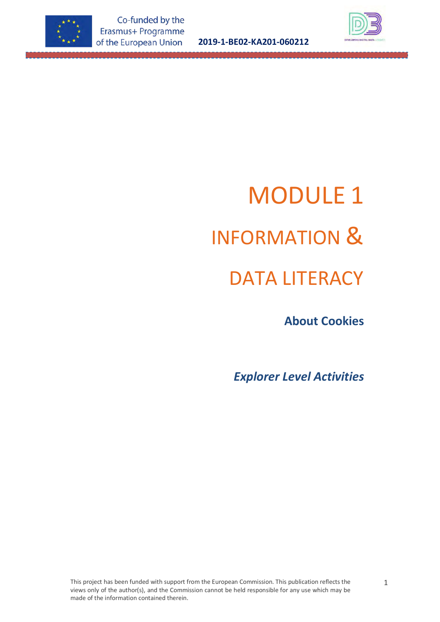

**2019-1-BE02-KA201-060212**



# MODULE 1 INFORMATION &

# DATA LITERACY

 **About Cookies**

*Explorer Level Activities*

This project has been funded with support from the European Commission. This publication reflects the views only of the author(s), and the Commission cannot be held responsible for any use which may be made of the information contained therein.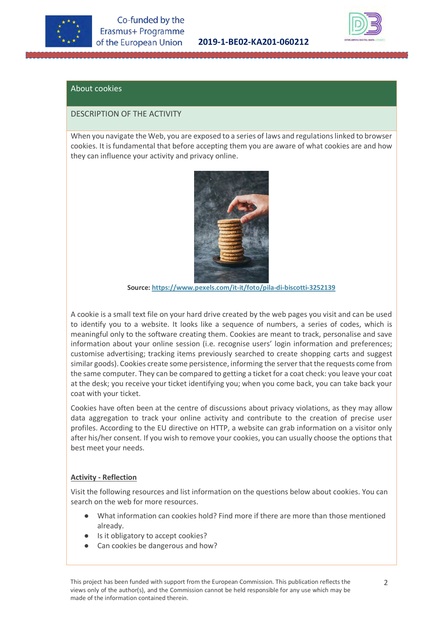



# About cookies

## DESCRIPTION OF THE ACTIVITY

When you navigate the Web, you are exposed to a series of laws and regulations linked to browser cookies. It is fundamental that before accepting them you are aware of what cookies are and how they can influence your activity and privacy online.



**Source[: https://www.pexels.com/it-it/foto/pila-di-biscotti-3252139](https://www.pexels.com/it-it/foto/pila-di-biscotti-3252139/)**

A cookie is a small text file on your hard drive created by the web pages you visit and can be used to identify you to a website. It looks like a sequence of numbers, a series of codes, which is meaningful only to the software creating them. Cookies are meant to track, personalise and save information about your online session (i.e. recognise users' login information and preferences; customise advertising; tracking items previously searched to create shopping carts and suggest similar goods). Cookies create some persistence, informing the server that the requests come from the same computer. They can be compared to getting a ticket for a coat check: you leave your coat at the desk; you receive your ticket identifying you; when you come back, you can take back your coat with your ticket.

Cookies have often been at the centre of discussions about privacy violations, as they may allow data aggregation to track your online activity and contribute to the creation of precise user profiles. According to the EU directive on HTTP, a website can grab information on a visitor only after his/her consent. If you wish to remove your cookies, you can usually choose the options that best meet your needs.

# **Activity - Reflection**

Visit the following resources and list information on the questions below about cookies. You can search on the web for more resources.

- What information can cookies hold? Find more if there are more than those mentioned already.
- Is it obligatory to accept cookies?
- Can cookies be dangerous and how?

This project has been funded with support from the European Commission. This publication reflects the views only of the author(s), and the Commission cannot be held responsible for any use which may be made of the information contained therein.